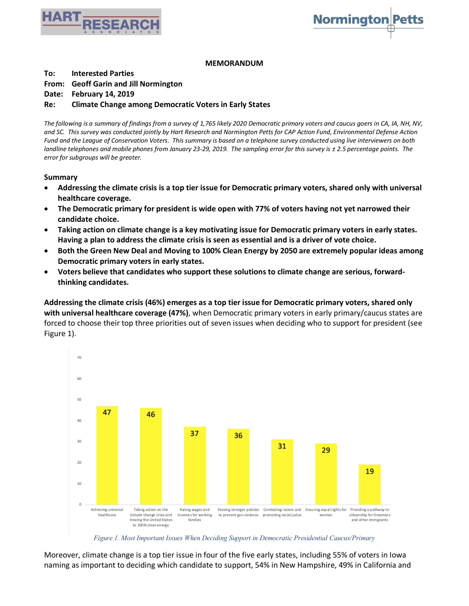



## **MEMORANDUM**

**To: Interested Parties**

## **From: Geoff Garin and Jill Normington**

**Date: February 14, 2019**

## **Re: Climate Change among Democratic Voters in Early States**

*The following is a summary of findings from a survey of 1,765 likely 2020 Democratic primary voters and caucus goers in CA, IA, NH, NV, and SC. This survey was conducted jointly by Hart Research and Normington Petts for CAP Action Fund, Environmental Defense Action Fund and the League of Conservation Voters. This summary is based on a telephone survey conducted using live interviewers on both landline telephones and mobile phones from January 23-29, 2019. The sampling error for this survey is ± 2.5 percentage points. The error for subgroups will be greater.*

## **Summary**

- **Addressing the climate crisis is a top tier issue for Democratic primary voters, shared only with universal healthcare coverage.**
- **The Democratic primary for president is wide open with 77% of voters having not yet narrowed their candidate choice.**
- **Taking action on climate change is a key motivating issue for Democratic primary voters in early states. Having a plan to address the climate crisis is seen as essential and is a driver of vote choice.**
- **Both the Green New Deal and Moving to 100% Clean Energy by 2050 are extremely popular ideas among Democratic primary voters in early states.**
- **Voters believe that candidates who support these solutions to climate change are serious, forwardthinking candidates.**

**Addressing the climate crisis (46%) emerges as a top tier issue for Democratic primary voters, shared only with universal healthcare coverage (47%)**, when Democratic primary voters in early primary/caucus states are forced to choose their top three priorities out of seven issues when deciding who to support for president (see Figure 1).



*Figure 1. Most Important Issues When Deciding Support in Democratic Presidential Caucus/Primary*

Moreover, climate change is a top tier issue in four of the five early states, including 55% of voters in Iowa naming as important to deciding which candidate to support, 54% in New Hampshire, 49% in California and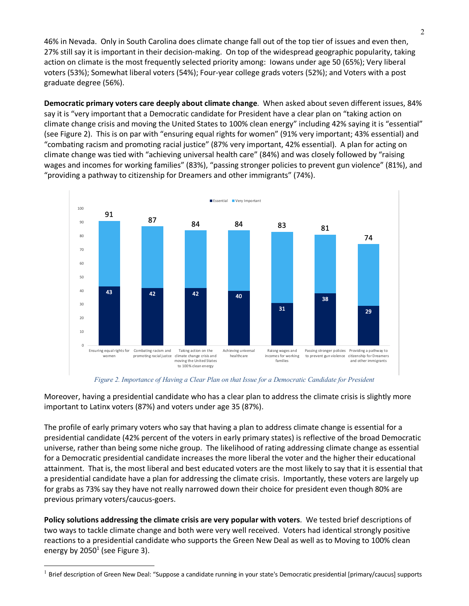46% in Nevada. Only in South Carolina does climate change fall out of the top tier of issues and even then, 27% still say it is important in their decision-making. On top of the widespread geographic popularity, taking action on climate is the most frequently selected priority among: Iowans under age 50 (65%); Very liberal voters (53%); Somewhat liberal voters (54%); Four-year college grads voters (52%); and Voters with a post graduate degree (56%).

**Democratic primary voters care deeply about climate change**. When asked about seven different issues, 84% say it is "very important that a Democratic candidate for President have a clear plan on "taking action on climate change crisis and moving the United States to 100% clean energy" including 42% saying it is "essential" (see Figure 2). This is on par with "ensuring equal rights for women" (91% very important; 43% essential) and "combating racism and promoting racial justice" (87% very important, 42% essential). A plan for acting on climate change was tied with "achieving universal health care" (84%) and was closely followed by "raising wages and incomes for working families" (83%), "passing stronger policies to prevent gun violence" (81%), and "providing a pathway to citizenship for Dreamers and other immigrants" (74%).



*Figure 2. Importance of Having a Clear Plan on that Issue for a Democratic Candidate for President*

Moreover, having a presidential candidate who has a clear plan to address the climate crisis is slightly more important to Latinx voters (87%) and voters under age 35 (87%).

The profile of early primary voters who say that having a plan to address climate change is essential for a presidential candidate (42% percent of the voters in early primary states) is reflective of the broad Democratic universe, rather than being some niche group. The likelihood of rating addressing climate change as essential for a Democratic presidential candidate increases the more liberal the voter and the higher their educational attainment. That is, the most liberal and best educated voters are the most likely to say that it is essential that a presidential candidate have a plan for addressing the climate crisis. Importantly, these voters are largely up for grabs as 73% say they have not really narrowed down their choice for president even though 80% are previous primary voters/caucus-goers.

**Policy solutions addressing the climate crisis are very popular with voters**. We tested brief descriptions of two ways to tackle climate change and both were very well received. Voters had identical strongly positive reactions to a presidential candidate who supports the Green New Deal as well as to Moving to 100% clean energy by  $2050<sup>1</sup>$  (see Figure 3).

 $1$  Brief description of Green New Deal: "Suppose a candidate running in your state's Democratic presidential [primary/caucus] supports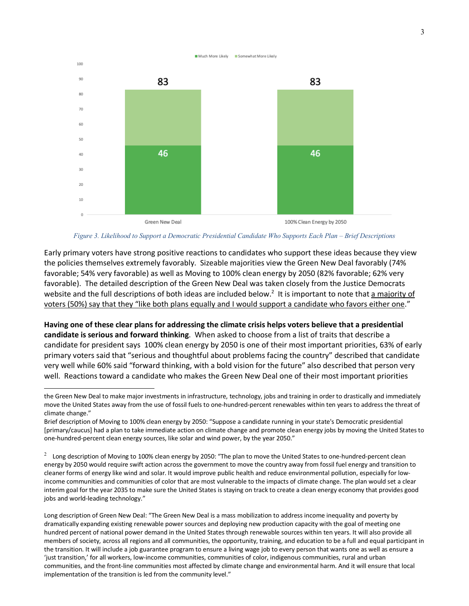

*Figure 3. Likelihood to Support a Democratic Presidential Candidate Who Supports Each Plan – Brief Descriptions*

Early primary voters have strong positive reactions to candidates who support these ideas because they view the policies themselves extremely favorably. Sizeable majorities view the Green New Deal favorably (74% favorable; 54% very favorable) as well as Moving to 100% clean energy by 2050 (82% favorable; 62% very favorable). The detailed description of the Green New Deal was taken closely from the Justice Democrats website and the full descriptions of both ideas are included below.<sup>2</sup> It is important to note that a majority of voters (50%) say that they "like both plans equally and I would support a candidate who favors either one."

**Having one of these clear plans for addressing the climate crisis helps voters believe that a presidential candidate is serious and forward thinking**. When asked to choose from a list of traits that describe a candidate for president says 100% clean energy by 2050 is one of their most important priorities, 63% of early primary voters said that "serious and thoughtful about problems facing the country" described that candidate very well while 60% said "forward thinking, with a bold vision for the future" also described that person very well. Reactions toward a candidate who makes the Green New Deal one of their most important priorities

l

Long description of Green New Deal: "The Green New Deal is a mass mobilization to address income inequality and poverty by dramatically expanding existing renewable power sources and deploying new production capacity with the goal of meeting one hundred percent of national power demand in the United States through renewable sources within ten years. It will also provide all members of society, across all regions and all communities, the opportunity, training, and education to be a full and equal participant in the transition. It will include a job guarantee program to ensure a living wage job to every person that wants one as well as ensure a 'just transition,' for all workers, low-income communities, communities of color, indigenous communities, rural and urban communities, and the front-line communities most affected by climate change and environmental harm. And it will ensure that local implementation of the transition is led from the community level."

the Green New Deal to make major investments in infrastructure, technology, jobs and training in order to drastically and immediately move the United States away from the use of fossil fuels to one-hundred-percent renewables within ten years to address the threat of climate change."

Brief description of Moving to 100% clean energy by 2050: "Suppose a candidate running in your state's Democratic presidential [primary/caucus] had a plan to take immediate action on climate change and promote clean energy jobs by moving the United States to one-hundred-percent clean energy sources, like solar and wind power, by the year 2050."

 $2$  Long description of Moving to 100% clean energy by 2050: "The plan to move the United States to one-hundred-percent clean energy by 2050 would require swift action across the government to move the country away from fossil fuel energy and transition to cleaner forms of energy like wind and solar. It would improve public health and reduce environmental pollution, especially for lowincome communities and communities of color that are most vulnerable to the impacts of climate change. The plan would set a clear interim goal for the year 2035 to make sure the United States is staying on track to create a clean energy economy that provides good jobs and world-leading technology."